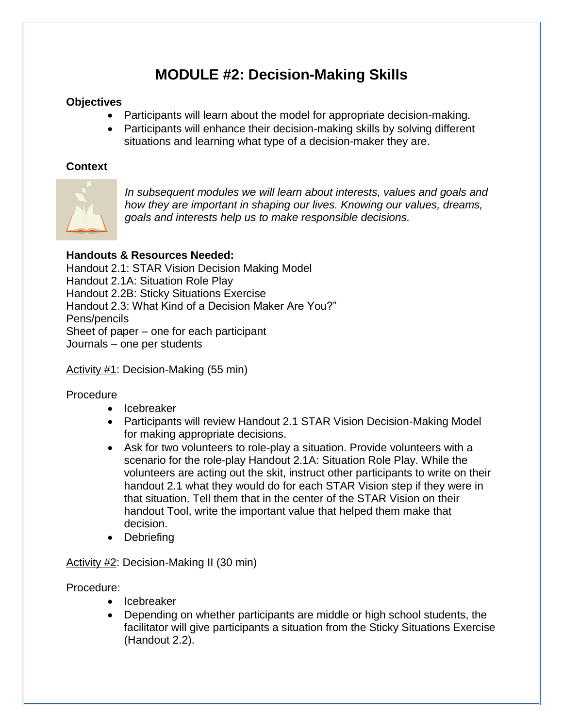# **MODULE #2: Decision-Making Skills**

# **Objectives**

- Participants will learn about the model for appropriate decision-making.
- Participants will enhance their decision-making skills by solving different situations and learning what type of a decision-maker they are.

## **Context**



*In subsequent modules we will learn about interests, values and goals and how they are important in shaping our lives. Knowing our values, dreams, goals and interests help us to make responsible decisions.*

# **Handouts & Resources Needed:**

Handout 2.1: STAR Vision Decision Making Model Handout 2.1A: Situation Role Play Handout 2.2B: Sticky Situations Exercise Handout 2.3: What Kind of a Decision Maker Are You?" Pens/pencils Sheet of paper – one for each participant Journals – one per students

Activity #1: Decision-Making (55 min)

### Procedure

- Icebreaker
- Participants will review Handout 2.1 STAR Vision Decision-Making Model for making appropriate decisions.
- Ask for two volunteers to role-play a situation. Provide volunteers with a scenario for the role-play Handout 2.1A: Situation Role Play. While the volunteers are acting out the skit, instruct other participants to write on their handout 2.1 what they would do for each STAR Vision step if they were in that situation. Tell them that in the center of the STAR Vision on their handout Tool, write the important value that helped them make that decision.
- Debriefing

Activity #2: Decision-Making II (30 min)

Procedure:

- Icebreaker
- Depending on whether participants are middle or high school students, the facilitator will give participants a situation from the Sticky Situations Exercise (Handout 2.2).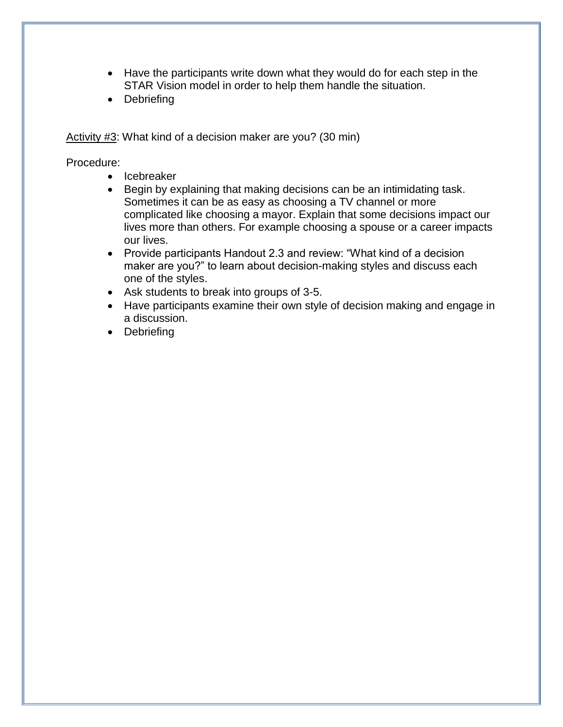- Have the participants write down what they would do for each step in the STAR Vision model in order to help them handle the situation.
- Debriefing

Activity #3: What kind of a decision maker are you? (30 min)

Procedure:

- Icebreaker
- Begin by explaining that making decisions can be an intimidating task. Sometimes it can be as easy as choosing a TV channel or more complicated like choosing a mayor. Explain that some decisions impact our lives more than others. For example choosing a spouse or a career impacts our lives.
- Provide participants Handout 2.3 and review: "What kind of a decision maker are you?" to learn about decision-making styles and discuss each one of the styles.
- Ask students to break into groups of 3-5.
- Have participants examine their own style of decision making and engage in a discussion.
- Debriefing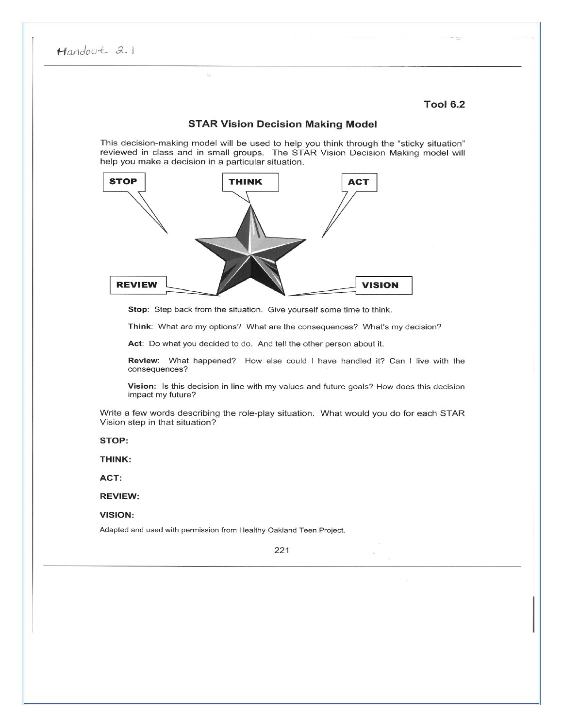#### **Tool 6.2**

#### **STAR Vision Decision Making Model**

This decision-making model will be used to help you think through the "sticky situation" reviewed in class and in small groups. The STAR Vision Decision Making model will help you make a decision in a particular situation.



Stop: Step back from the situation. Give yourself some time to think.

Think: What are my options? What are the consequences? What's my decision?

Act: Do what you decided to do. And tell the other person about it.

Review: What happened? How else could I have handled it? Can I live with the consequences?

Vision: Is this decision in line with my values and future goals? How does this decision impact my future?

Write a few words describing the role-play situation. What would you do for each STAR Vision step in that situation?

STOP:

THINK:

ACT:

**REVIEW:** 

**VISION:** 

Adapted and used with permission from Healthy Oakland Teen Project.

221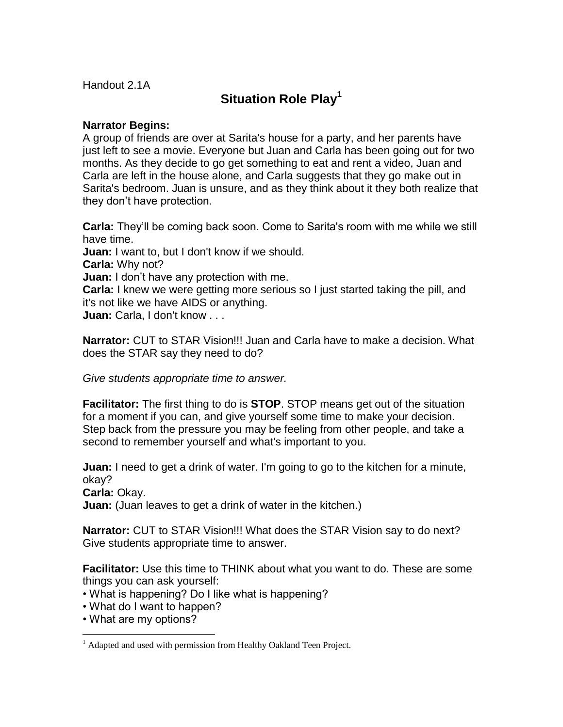Handout 2.1A

# **Situation Role Play<sup>1</sup>**

## **Narrator Begins:**

A group of friends are over at Sarita's house for a party, and her parents have just left to see a movie. Everyone but Juan and Carla has been going out for two months. As they decide to go get something to eat and rent a video, Juan and Carla are left in the house alone, and Carla suggests that they go make out in Sarita's bedroom. Juan is unsure, and as they think about it they both realize that they don't have protection.

**Carla:** They'll be coming back soon. Come to Sarita's room with me while we still have time. **Juan:** I want to, but I don't know if we should. **Carla:** Why not? **Juan:** I don't have any protection with me. **Carla:** I knew we were getting more serious so I just started taking the pill, and it's not like we have AIDS or anything. **Juan:** Carla, I don't know . . .

**Narrator:** CUT to STAR Vision!!! Juan and Carla have to make a decision. What does the STAR say they need to do?

*Give students appropriate time to answer.* 

**Facilitator:** The first thing to do is **STOP**. STOP means get out of the situation for a moment if you can, and give yourself some time to make your decision. Step back from the pressure you may be feeling from other people, and take a second to remember yourself and what's important to you.

**Juan:** I need to get a drink of water. I'm going to go to the kitchen for a minute, okay?

**Carla:** Okay.

**Juan:** (Juan leaves to get a drink of water in the kitchen.)

**Narrator:** CUT to STAR Vision!!! What does the STAR Vision say to do next? Give students appropriate time to answer.

**Facilitator:** Use this time to THINK about what you want to do. These are some things you can ask yourself:

- What is happening? Do I like what is happening?
- What do I want to happen?
- What are my options?

<sup>1</sup>  $<sup>1</sup>$  Adapted and used with permission from Healthy Oakland Teen Project.</sup>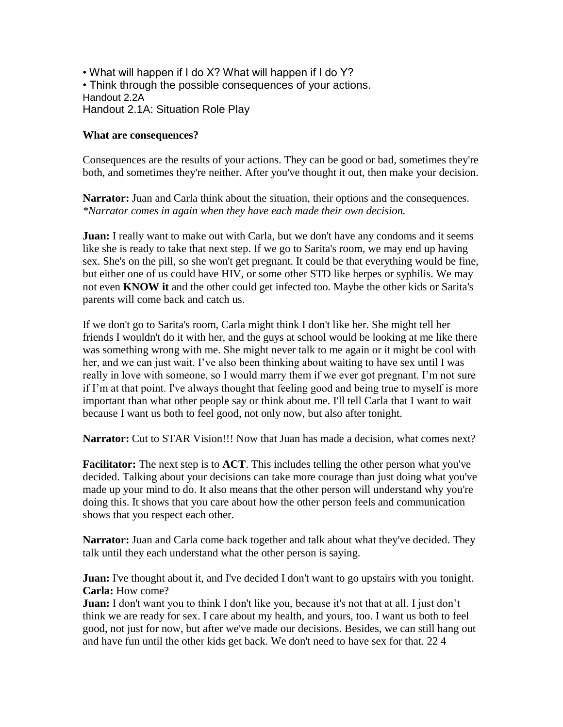• What will happen if I do X? What will happen if I do Y? • Think through the possible consequences of your actions. Handout 2.2A Handout 2.1A: Situation Role Play

### **What are consequences?**

Consequences are the results of your actions. They can be good or bad, sometimes they're both, and sometimes they're neither. After you've thought it out, then make your decision.

**Narrator:** Juan and Carla think about the situation, their options and the consequences. *\*Narrator comes in again when they have each made their own decision.* 

**Juan:** I really want to make out with Carla, but we don't have any condoms and it seems like she is ready to take that next step. If we go to Sarita's room, we may end up having sex. She's on the pill, so she won't get pregnant. It could be that everything would be fine, but either one of us could have HIV, or some other STD like herpes or syphilis. We may not even **KNOW it** and the other could get infected too. Maybe the other kids or Sarita's parents will come back and catch us.

If we don't go to Sarita's room, Carla might think I don't like her. She might tell her friends I wouldn't do it with her, and the guys at school would be looking at me like there was something wrong with me. She might never talk to me again or it might be cool with her, and we can just wait. I've also been thinking about waiting to have sex until I was really in love with someone, so I would marry them if we ever got pregnant. I'm not sure if I'm at that point. I've always thought that feeling good and being true to myself is more important than what other people say or think about me. I'll tell Carla that I want to wait because I want us both to feel good, not only now, but also after tonight.

**Narrator:** Cut to STAR Vision!!! Now that Juan has made a decision, what comes next?

**Facilitator:** The next step is to **ACT**. This includes telling the other person what you've decided. Talking about your decisions can take more courage than just doing what you've made up your mind to do. It also means that the other person will understand why you're doing this. It shows that you care about how the other person feels and communication shows that you respect each other.

Narrator: Juan and Carla come back together and talk about what they've decided. They talk until they each understand what the other person is saying.

**Juan:** I've thought about it, and I've decided I don't want to go upstairs with you tonight. **Carla:** How come?

**Juan:** I don't want you to think I don't like you, because it's not that at all. I just don't think we are ready for sex. I care about my health, and yours, too. I want us both to feel good, not just for now, but after we've made our decisions. Besides, we can still hang out and have fun until the other kids get back. We don't need to have sex for that. 22 4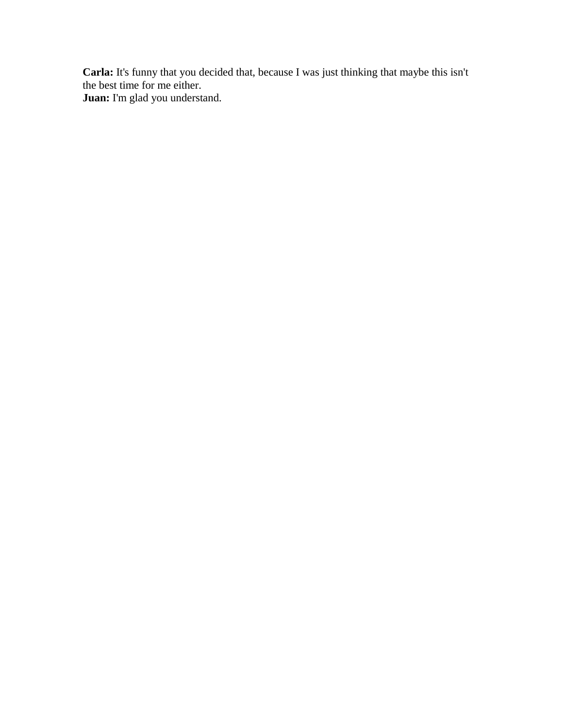**Carla:** It's funny that you decided that, because I was just thinking that maybe this isn't the best time for me either. **Juan:** I'm glad you understand.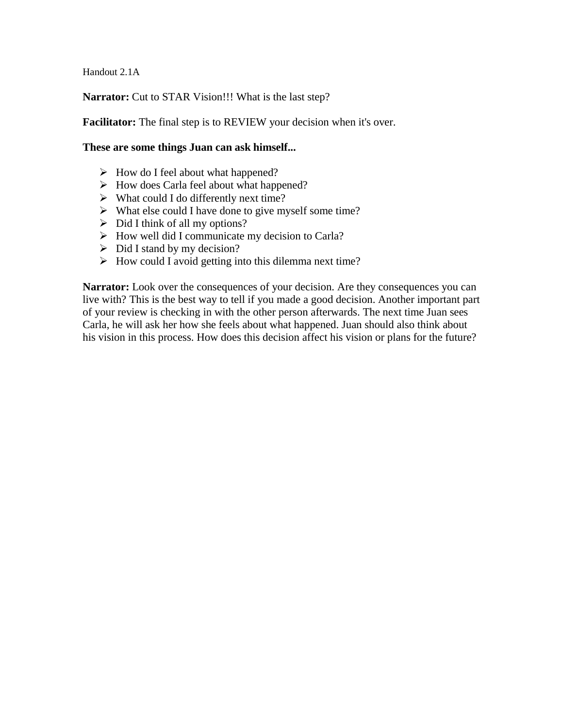Handout 2.1A

**Narrator:** Cut to STAR Vision!!! What is the last step?

**Facilitator:** The final step is to REVIEW your decision when it's over.

#### **These are some things Juan can ask himself...**

- $\triangleright$  How do I feel about what happened?
- $\triangleright$  How does Carla feel about what happened?
- $\triangleright$  What could I do differently next time?
- $\triangleright$  What else could I have done to give myself some time?
- $\triangleright$  Did I think of all my options?
- $\triangleright$  How well did I communicate my decision to Carla?
- $\triangleright$  Did I stand by my decision?
- $\triangleright$  How could I avoid getting into this dilemma next time?

**Narrator:** Look over the consequences of your decision. Are they consequences you can live with? This is the best way to tell if you made a good decision. Another important part of your review is checking in with the other person afterwards. The next time Juan sees Carla, he will ask her how she feels about what happened. Juan should also think about his vision in this process. How does this decision affect his vision or plans for the future?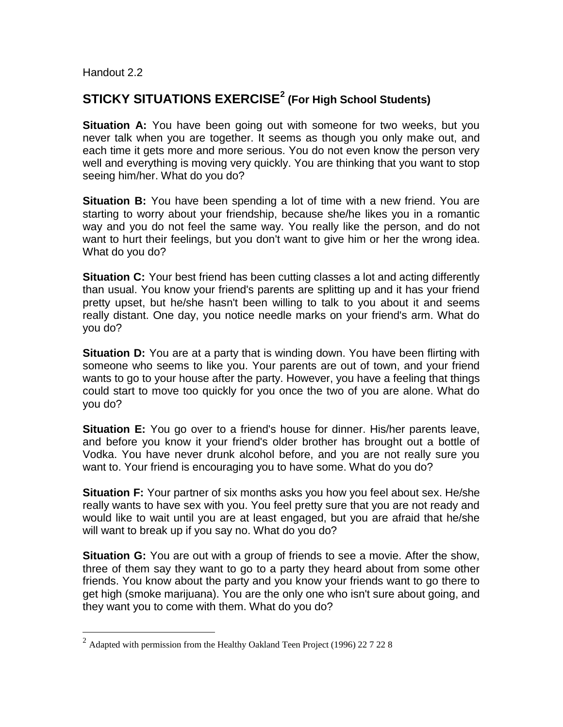Handout 2.2

<u>.</u>

# **STICKY SITUATIONS EXERCISE<sup>2</sup> (For High School Students)**

**Situation A:** You have been going out with someone for two weeks, but you never talk when you are together. It seems as though you only make out, and each time it gets more and more serious. You do not even know the person very well and everything is moving very quickly. You are thinking that you want to stop seeing him/her. What do you do?

**Situation B:** You have been spending a lot of time with a new friend. You are starting to worry about your friendship, because she/he likes you in a romantic way and you do not feel the same way. You really like the person, and do not want to hurt their feelings, but you don't want to give him or her the wrong idea. What do you do?

**Situation C:** Your best friend has been cutting classes a lot and acting differently than usual. You know your friend's parents are splitting up and it has your friend pretty upset, but he/she hasn't been willing to talk to you about it and seems really distant. One day, you notice needle marks on your friend's arm. What do you do?

**Situation D:** You are at a party that is winding down. You have been flirting with someone who seems to like you. Your parents are out of town, and your friend wants to go to your house after the party. However, you have a feeling that things could start to move too quickly for you once the two of you are alone. What do you do?

Situation E: You go over to a friend's house for dinner. His/her parents leave. and before you know it your friend's older brother has brought out a bottle of Vodka. You have never drunk alcohol before, and you are not really sure you want to. Your friend is encouraging you to have some. What do you do?

**Situation F:** Your partner of six months asks you how you feel about sex. He/she really wants to have sex with you. You feel pretty sure that you are not ready and would like to wait until you are at least engaged, but you are afraid that he/she will want to break up if you say no. What do you do?

**Situation G:** You are out with a group of friends to see a movie. After the show, three of them say they want to go to a party they heard about from some other friends. You know about the party and you know your friends want to go there to get high (smoke marijuana). You are the only one who isn't sure about going, and they want you to come with them. What do you do?

<sup>&</sup>lt;sup>2</sup> Adapted with permission from the Healthy Oakland Teen Project (1996) 22 7 22 8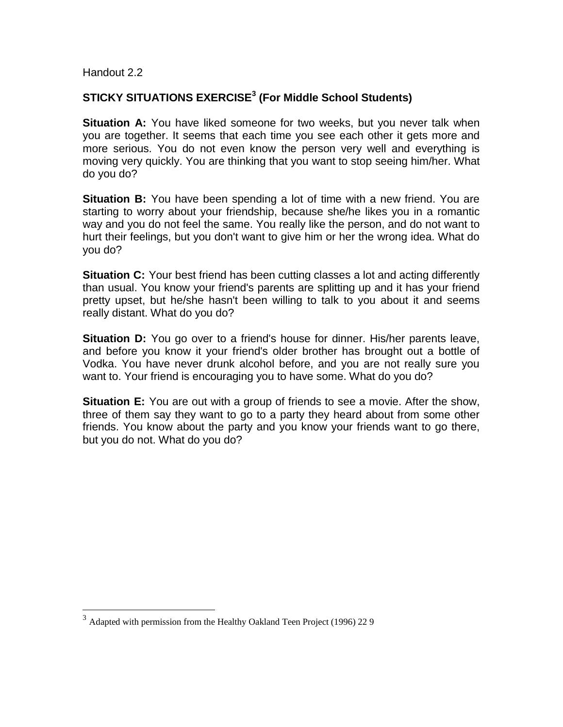Handout 2.2

<u>.</u>

### **STICKY SITUATIONS EXERCISE<sup>3</sup> (For Middle School Students)**

**Situation A:** You have liked someone for two weeks, but you never talk when you are together. It seems that each time you see each other it gets more and more serious. You do not even know the person very well and everything is moving very quickly. You are thinking that you want to stop seeing him/her. What do you do?

**Situation B:** You have been spending a lot of time with a new friend. You are starting to worry about your friendship, because she/he likes you in a romantic way and you do not feel the same. You really like the person, and do not want to hurt their feelings, but you don't want to give him or her the wrong idea. What do you do?

**Situation C:** Your best friend has been cutting classes a lot and acting differently than usual. You know your friend's parents are splitting up and it has your friend pretty upset, but he/she hasn't been willing to talk to you about it and seems really distant. What do you do?

**Situation D:** You go over to a friend's house for dinner. His/her parents leave, and before you know it your friend's older brother has brought out a bottle of Vodka. You have never drunk alcohol before, and you are not really sure you want to. Your friend is encouraging you to have some. What do you do?

**Situation E:** You are out with a group of friends to see a movie. After the show, three of them say they want to go to a party they heard about from some other friends. You know about the party and you know your friends want to go there, but you do not. What do you do?

 $3$  Adapted with permission from the Healthy Oakland Teen Project (1996) 22 9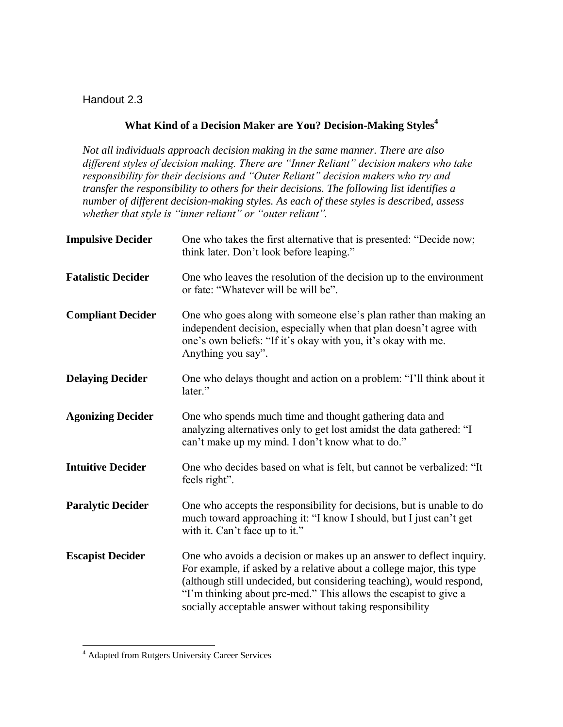Handout 2.3

# **What Kind of a Decision Maker are You? Decision-Making Styles<sup>4</sup>**

*Not all individuals approach decision making in the same manner. There are also different styles of decision making. There are "Inner Reliant" decision makers who take responsibility for their decisions and "Outer Reliant" decision makers who try and transfer the responsibility to others for their decisions. The following list identifies a number of different decision-making styles. As each of these styles is described, assess whether that style is "inner reliant" or "outer reliant".* 

| <b>Impulsive Decider</b>  | One who takes the first alternative that is presented: "Decide now;<br>think later. Don't look before leaping."                                                                                                                                                                                                                                     |
|---------------------------|-----------------------------------------------------------------------------------------------------------------------------------------------------------------------------------------------------------------------------------------------------------------------------------------------------------------------------------------------------|
| <b>Fatalistic Decider</b> | One who leaves the resolution of the decision up to the environment<br>or fate: "Whatever will be will be".                                                                                                                                                                                                                                         |
| <b>Compliant Decider</b>  | One who goes along with someone else's plan rather than making an<br>independent decision, especially when that plan doesn't agree with<br>one's own beliefs: "If it's okay with you, it's okay with me.<br>Anything you say".                                                                                                                      |
| <b>Delaying Decider</b>   | One who delays thought and action on a problem: "I'll think about it<br>later."                                                                                                                                                                                                                                                                     |
| <b>Agonizing Decider</b>  | One who spends much time and thought gathering data and<br>analyzing alternatives only to get lost amidst the data gathered: "I<br>can't make up my mind. I don't know what to do."                                                                                                                                                                 |
| <b>Intuitive Decider</b>  | One who decides based on what is felt, but cannot be verbalized: "It<br>feels right".                                                                                                                                                                                                                                                               |
| <b>Paralytic Decider</b>  | One who accepts the responsibility for decisions, but is unable to do<br>much toward approaching it: "I know I should, but I just can't get<br>with it. Can't face up to it."                                                                                                                                                                       |
| <b>Escapist Decider</b>   | One who avoids a decision or makes up an answer to deflect inquiry.<br>For example, if asked by a relative about a college major, this type<br>(although still undecided, but considering teaching), would respond,<br>"I'm thinking about pre-med." This allows the escapist to give a<br>socially acceptable answer without taking responsibility |

<sup>&</sup>lt;sup>4</sup> Adapted from Rutgers University Career Services

<u>.</u>